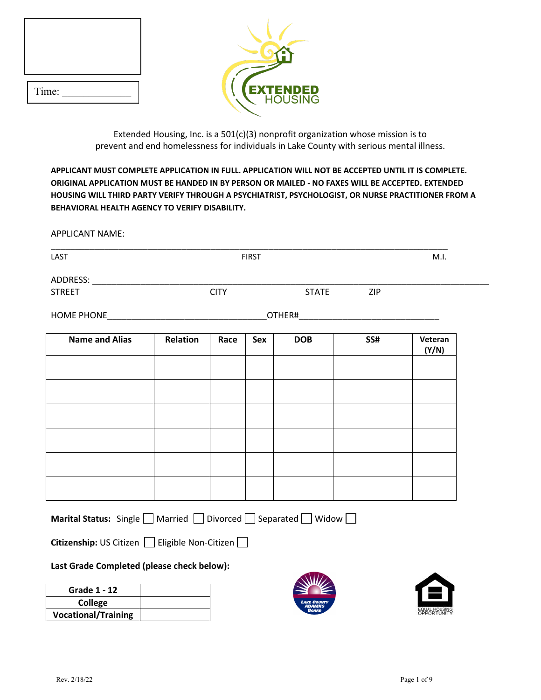| Time: |  |
|-------|--|



Extended Housing, Inc. is a 501(c)(3) nonprofit organization whose mission is to prevent and end homelessness for individuals in Lake County with serious mental illness.

**APPLICANT MUST COMPLETE APPLICATION IN FULL. APPLICATION WILL NOT BE ACCEPTED UNTIL IT IS COMPLETE. ORIGINAL APPLICATION MUST BE HANDED IN BY PERSON OR MAILED - NO FAXES WILL BE ACCEPTED. EXTENDED HOUSING WILL THIRD PARTY VERIFY THROUGH A PSYCHIATRIST, PSYCHOLOGIST, OR NURSE PRACTITIONER FROM A BEHAVIORAL HEALTH AGENCY TO VERIFY DISABILITY.**

APPLICANT NAME:

| LAST                  | <b>FIRST</b> |             |     | M.I.         |     |                  |
|-----------------------|--------------|-------------|-----|--------------|-----|------------------|
|                       |              |             |     |              |     |                  |
| <b>STREET</b>         |              | <b>CITY</b> |     | <b>STATE</b> | ZIP |                  |
|                       |              |             |     |              |     |                  |
| <b>Name and Alias</b> | Relation     | Race        | Sex | <b>DOB</b>   | SS# | Veteran<br>(Y/N) |
|                       |              |             |     |              |     |                  |
|                       |              |             |     |              |     |                  |
|                       |              |             |     |              |     |                  |
|                       |              |             |     |              |     |                  |
|                       |              |             |     |              |     |                  |
|                       |              |             |     |              |     |                  |
|                       |              |             |     |              |     |                  |
|                       |              |             |     |              |     |                  |

**Citizenship:** US CitizenEligible Non-Citizen

# **Last Grade Completed (please check below):**

| <b>Grade 1 - 12</b>        |  |
|----------------------------|--|
| College                    |  |
| <b>Vocational/Training</b> |  |



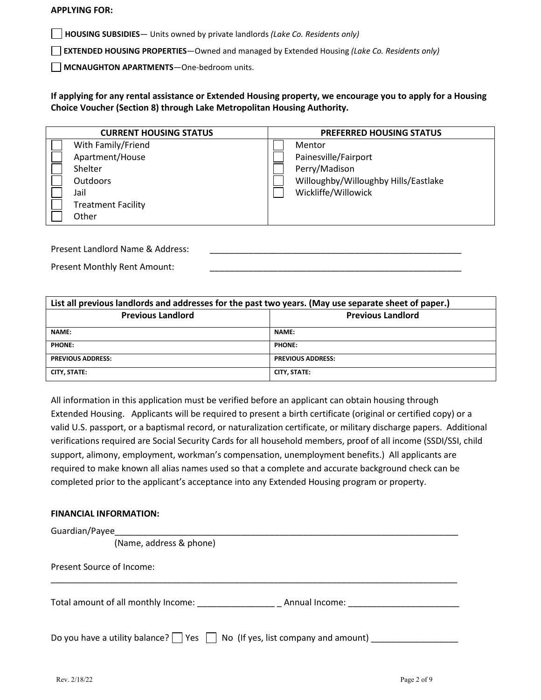#### **APPLYING FOR:**

**HOUSING SUBSIDIES**— Units owned by private landlords *(Lake Co. Residents only)*

**EXTENDED HOUSING PROPERTIES**—Owned and managed by Extended Housing *(Lake Co. Residents only)*

**MCNAUGHTON APARTMENTS**—One-bedroom units.

**If applying for any rental assistance or Extended Housing property, we encourage you to apply for a Housing Choice Voucher (Section 8) through Lake Metropolitan Housing Authority.**

| <b>CURRENT HOUSING STATUS</b> | <b>PREFERRED HOUSING STATUS</b>      |
|-------------------------------|--------------------------------------|
| With Family/Friend            | Mentor                               |
| Apartment/House               | Painesville/Fairport                 |
| Shelter                       | Perry/Madison                        |
| <b>Outdoors</b>               | Willoughby/Willoughby Hills/Eastlake |
| Jail                          | Wickliffe/Willowick                  |
| <b>Treatment Facility</b>     |                                      |
| Other                         |                                      |
|                               |                                      |

Present Landlord Name & Address:

Present Monthly Rent Amount:

| List all previous landlords and addresses for the past two years. (May use separate sheet of paper.) |                          |  |  |
|------------------------------------------------------------------------------------------------------|--------------------------|--|--|
| <b>Previous Landlord</b><br><b>Previous Landlord</b>                                                 |                          |  |  |
| <b>NAME:</b>                                                                                         | <b>NAME:</b>             |  |  |
| PHONE:                                                                                               | <b>PHONE:</b>            |  |  |
| <b>PREVIOUS ADDRESS:</b>                                                                             | <b>PREVIOUS ADDRESS:</b> |  |  |
| <b>CITY, STATE:</b>                                                                                  | CITY, STATE:             |  |  |

All information in this application must be verified before an applicant can obtain housing through Extended Housing. Applicants will be required to present a birth certificate (original or certified copy) or a valid U.S. passport, or a baptismal record, or naturalization certificate, or military discharge papers. Additional verifications required are Social Security Cards for all household members, proof of all income (SSDI/SSI, child support, alimony, employment, workman's compensation, unemployment benefits.) All applicants are required to make known all alias names used so that a complete and accurate background check can be completed prior to the applicant's acceptance into any Extended Housing program or property.

#### **FINANCIAL INFORMATION:**

| Guardian/Payee                                                                               |
|----------------------------------------------------------------------------------------------|
| (Name, address & phone)                                                                      |
| Present Source of Income:                                                                    |
| Total amount of all monthly Income: Cambridge Controller Manual Income:                      |
| Do you have a utility balance? $\Box$ Yes $\Box$ No (If yes, list company and amount) $\Box$ |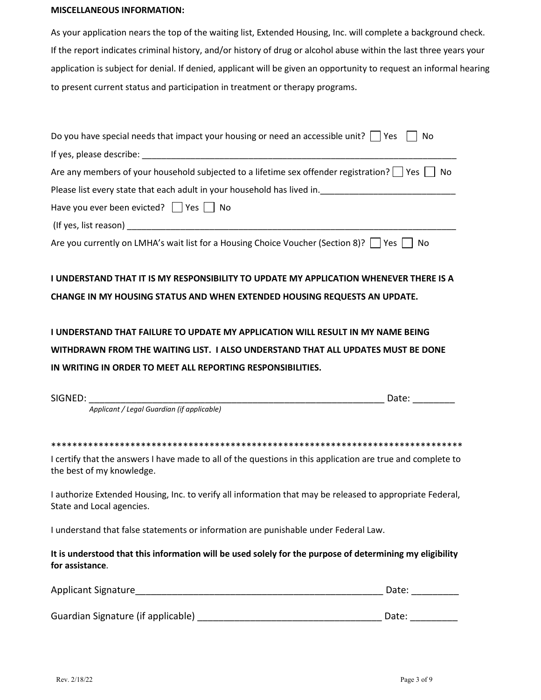#### **MISCELLANEOUS INFORMATION:**

As your application nears the top of the waiting list, Extended Housing, Inc. will complete a background check. If the report indicates criminal history, and/or history of drug or alcohol abuse within the last three years your application is subject for denial. If denied, applicant will be given an opportunity to request an informal hearing to present current status and participation in treatment or therapy programs.

Guardian Signature (if applicable) \_\_\_\_\_\_\_\_\_\_\_\_\_\_\_\_\_\_\_\_\_\_\_\_\_\_\_\_\_\_\_\_\_\_\_ Date: \_\_\_\_\_\_\_\_\_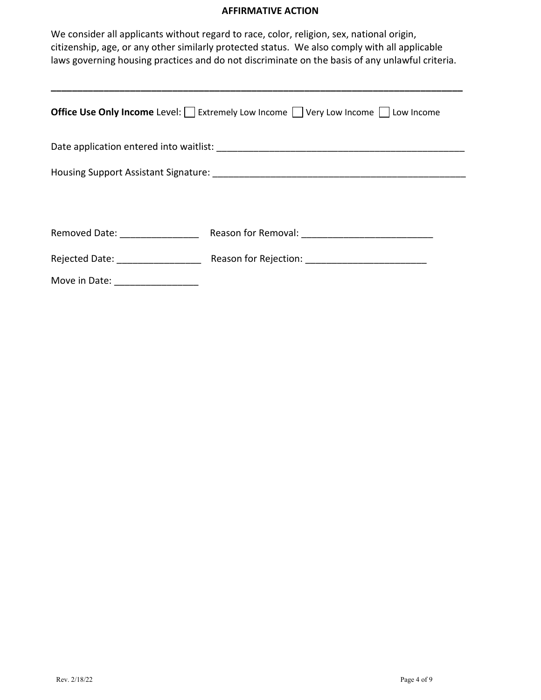## **AFFIRMATIVE ACTION**

We consider all applicants without regard to race, color, religion, sex, national origin, citizenship, age, or any other similarly protected status. We also comply with all applicable laws governing housing practices and do not discriminate on the basis of any unlawful criteria.

**\_\_\_\_\_\_\_\_\_\_\_\_\_\_\_\_\_\_\_\_\_\_\_\_\_\_\_\_\_\_\_\_\_\_\_\_\_\_\_\_\_\_\_\_\_\_\_\_\_\_\_\_\_\_\_\_\_\_\_\_\_\_\_\_\_\_\_\_\_\_\_\_\_\_\_\_\_\_**

| <b>Office Use Only Income</b> Level: $\Box$ Extremely Low Income $\Box$ Very Low Income $\Box$ Low Income |  |  |  |  |  |
|-----------------------------------------------------------------------------------------------------------|--|--|--|--|--|
|                                                                                                           |  |  |  |  |  |
|                                                                                                           |  |  |  |  |  |
|                                                                                                           |  |  |  |  |  |
|                                                                                                           |  |  |  |  |  |
| Removed Date: __________________                                                                          |  |  |  |  |  |
| Rejected Date: ___________________                                                                        |  |  |  |  |  |
| Move in Date: New York 1997                                                                               |  |  |  |  |  |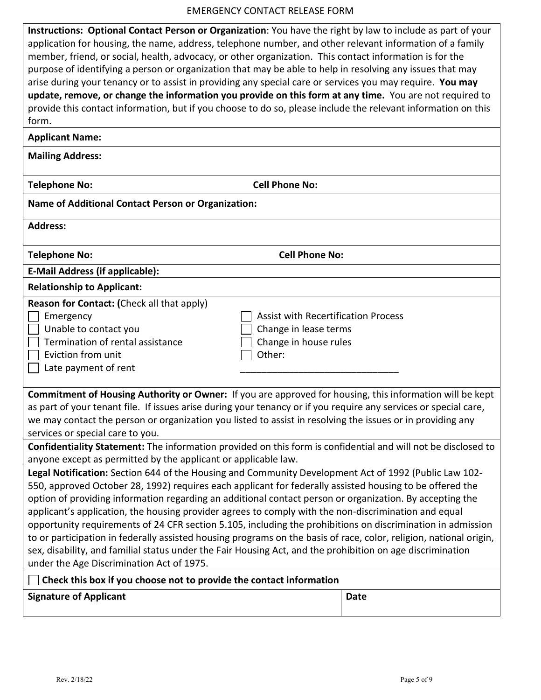#### EMERGENCY CONTACT RELEASE FORM

**Instructions: Optional Contact Person or Organization**: You have the right by law to include as part of your application for housing, the name, address, telephone number, and other relevant information of a family member, friend, or social, health, advocacy, or other organization. This contact information is for the purpose of identifying a person or organization that may be able to help in resolving any issues that may arise during your tenancy or to assist in providing any special care or services you may require. **You may update, remove, or change the information you provide on this form at any time.** You are not required to provide this contact information, but if you choose to do so, please include the relevant information on this form.

#### **Applicant Name:**

**Mailing Address:** 

**Telephone No: Cell Phone No:** 

## **Name of Additional Contact Person or Organization:**

**Address:** 

**Telephone No: Cell Phone No:** 

# **E-Mail Address (if applicable):**

**Relationship to Applicant:** 

|  | Reason for Contact: (Check all that apply) |
|--|--------------------------------------------|
|--|--------------------------------------------|

| Emergency                        | Assist with Recertification Process |
|----------------------------------|-------------------------------------|
| Unable to contact you            | Change in lease terms               |
| Termination of rental assistance | $\Box$ Change in house rules        |
| Eviction from unit               | Other:                              |
| Late payment of rent             |                                     |

| <b>Commitment of Housing Authority or Owner:</b> If you are approved for housing, this information will be kept  |
|------------------------------------------------------------------------------------------------------------------|
| as part of your tenant file. If issues arise during your tenancy or if you require any services or special care, |
| we may contact the person or organization you listed to assist in resolving the issues or in providing any       |
| services or special care to you.                                                                                 |

**Confidentiality Statement:** The information provided on this form is confidential and will not be disclosed to anyone except as permitted by the applicant or applicable law.

**Legal Notification:** Section 644 of the Housing and Community Development Act of 1992 (Public Law 102- 550, approved October 28, 1992) requires each applicant for federally assisted housing to be offered the option of providing information regarding an additional contact person or organization. By accepting the applicant's application, the housing provider agrees to comply with the non-discrimination and equal opportunity requirements of 24 CFR section 5.105, including the prohibitions on discrimination in admission to or participation in federally assisted housing programs on the basis of race, color, religion, national origin, sex, disability, and familial status under the Fair Housing Act, and the prohibition on age discrimination under the Age Discrimination Act of 1975.

# **Check this box if you choose not to provide the contact information**

**Signature of Applicant Date**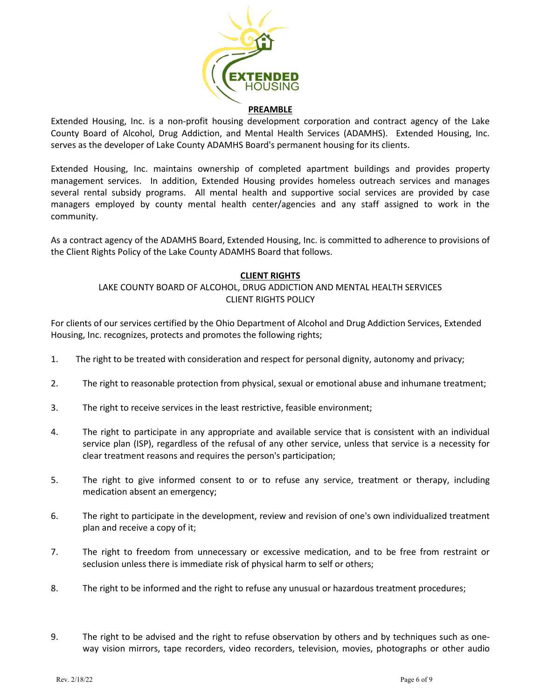

Extended Housing, Inc. is a non-profit housing development corporation and contract agency of the Lake County Board of Alcohol, Drug Addiction, and Mental Health Services (ADAMHS). Extended Housing, Inc. serves as the developer of Lake County ADAMHS Board's permanent housing for its clients.

Extended Housing, Inc. maintains ownership of completed apartment buildings and provides property management services. In addition, Extended Housing provides homeless outreach services and manages several rental subsidy programs. All mental health and supportive social services are provided by case managers employed by county mental health center/agencies and any staff assigned to work in the community.

As a contract agency of the ADAMHS Board, Extended Housing, Inc. is committed to adherence to provisions of the Client Rights Policy of the Lake County ADAMHS Board that follows.

## **CLIENT RIGHTS**

## LAKE COUNTY BOARD OF ALCOHOL, DRUG ADDICTION AND MENTAL HEALTH SERVICES CLIENT RIGHTS POLICY

For clients of our services certified by the Ohio Department of Alcohol and Drug Addiction Services, Extended Housing, Inc. recognizes, protects and promotes the following rights;

- 1. The right to be treated with consideration and respect for personal dignity, autonomy and privacy;
- 2. The right to reasonable protection from physical, sexual or emotional abuse and inhumane treatment;
- 3. The right to receive services in the least restrictive, feasible environment;
- 4. The right to participate in any appropriate and available service that is consistent with an individual service plan (ISP), regardless of the refusal of any other service, unless that service is a necessity for clear treatment reasons and requires the person's participation;
- 5. The right to give informed consent to or to refuse any service, treatment or therapy, including medication absent an emergency;
- 6. The right to participate in the development, review and revision of one's own individualized treatment plan and receive a copy of it;
- 7. The right to freedom from unnecessary or excessive medication, and to be free from restraint or seclusion unless there is immediate risk of physical harm to self or others;
- 8. The right to be informed and the right to refuse any unusual or hazardous treatment procedures;
- 9. The right to be advised and the right to refuse observation by others and by techniques such as oneway vision mirrors, tape recorders, video recorders, television, movies, photographs or other audio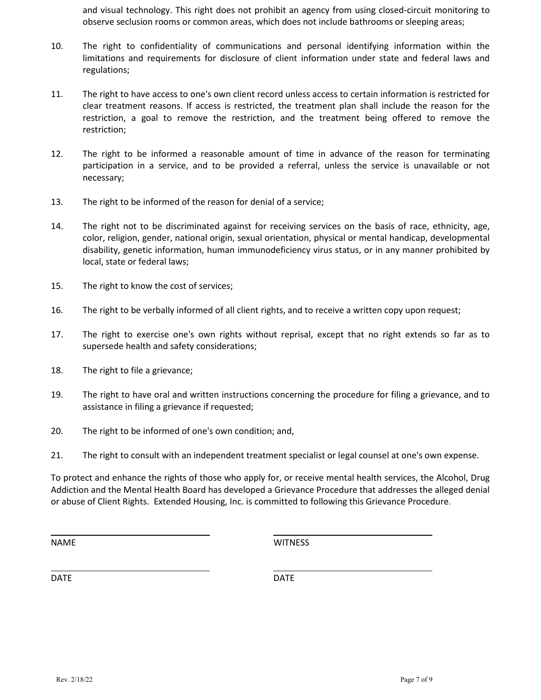and visual technology. This right does not prohibit an agency from using closed-circuit monitoring to observe seclusion rooms or common areas, which does not include bathrooms or sleeping areas;

- 10. The right to confidentiality of communications and personal identifying information within the limitations and requirements for disclosure of client information under state and federal laws and regulations;
- 11. The right to have access to one's own client record unless access to certain information is restricted for clear treatment reasons. If access is restricted, the treatment plan shall include the reason for the restriction, a goal to remove the restriction, and the treatment being offered to remove the restriction;
- 12. The right to be informed a reasonable amount of time in advance of the reason for terminating participation in a service, and to be provided a referral, unless the service is unavailable or not necessary;
- 13. The right to be informed of the reason for denial of a service;
- 14. The right not to be discriminated against for receiving services on the basis of race, ethnicity, age, color, religion, gender, national origin, sexual orientation, physical or mental handicap, developmental disability, genetic information, human immunodeficiency virus status, or in any manner prohibited by local, state or federal laws;
- 15. The right to know the cost of services;
- 16. The right to be verbally informed of all client rights, and to receive a written copy upon request;
- 17. The right to exercise one's own rights without reprisal, except that no right extends so far as to supersede health and safety considerations;
- 18. The right to file a grievance;
- 19. The right to have oral and written instructions concerning the procedure for filing a grievance, and to assistance in filing a grievance if requested;
- 20. The right to be informed of one's own condition; and,
- 21. The right to consult with an independent treatment specialist or legal counsel at one's own expense.

To protect and enhance the rights of those who apply for, or receive mental health services, the Alcohol, Drug Addiction and the Mental Health Board has developed a Grievance Procedure that addresses the alleged denial or abuse of Client Rights. Extended Housing, Inc. is committed to following this Grievance Procedure.

NAME WITNESS

DATE DATE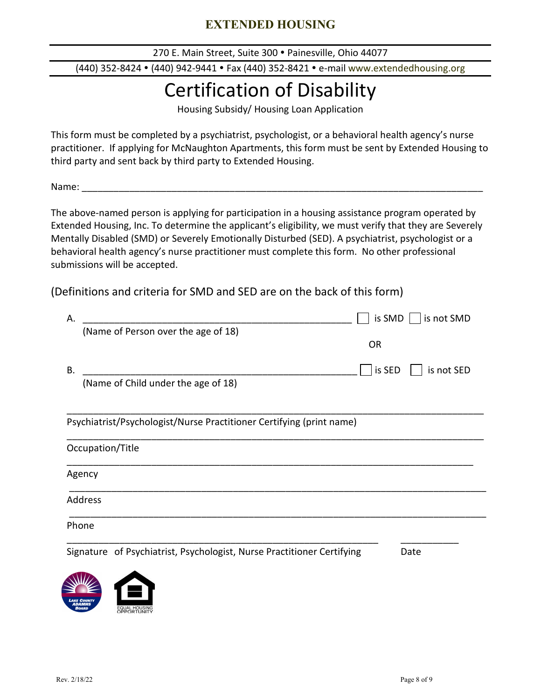# **EXTENDED HOUSING**

270 E. Main Street, Suite 300 · Painesville, Ohio 44077

(440) 352-8424 (440) 942-9441 Fax (440) 352-8421 e-mail www.extendedhousing.org

# Certification of Disability

Housing Subsidy/ Housing Loan Application

This form must be completed by a psychiatrist, psychologist, or a behavioral health agency's nurse practitioner. If applying for McNaughton Apartments, this form must be sent by Extended Housing to third party and sent back by third party to Extended Housing.

Name: \_\_\_\_\_\_\_\_\_\_\_\_\_\_\_\_\_\_\_\_\_\_\_\_\_\_\_\_\_\_\_\_\_\_\_\_\_\_\_\_\_\_\_\_\_\_\_\_\_\_\_\_\_\_\_\_\_\_\_\_\_\_\_\_\_\_\_\_\_\_\_\_\_\_\_\_

The above-named person is applying for participation in a housing assistance program operated by Extended Housing, Inc. To determine the applicant's eligibility, we must verify that they are Severely Mentally Disabled (SMD) or Severely Emotionally Disturbed (SED). A psychiatrist, psychologist or a behavioral health agency's nurse practitioner must complete this form. No other professional submissions will be accepted.

(Definitions and criteria for SMD and SED are on the back of this form)

| А.     |                                                                        | is SMD<br>is not SMD |
|--------|------------------------------------------------------------------------|----------------------|
|        | (Name of Person over the age of 18)                                    |                      |
|        |                                                                        | <b>OR</b>            |
| В.     |                                                                        | is not SED<br>is SED |
|        | (Name of Child under the age of 18)                                    |                      |
|        |                                                                        |                      |
|        | Psychiatrist/Psychologist/Nurse Practitioner Certifying (print name)   |                      |
|        | Occupation/Title                                                       |                      |
| Agency |                                                                        |                      |
|        | Address                                                                |                      |
| Phone  |                                                                        |                      |
|        | Signature of Psychiatrist, Psychologist, Nurse Practitioner Certifying | Date                 |
|        |                                                                        |                      |
|        |                                                                        |                      |